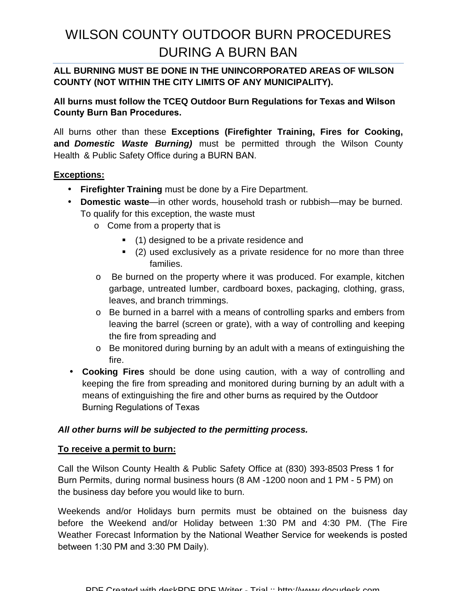# WILSON COUNTY OUTDOOR BURN PROCEDURES DURING A BURN BAN

## **ALL BURNING MUST BE DONE IN THE UNINCORPORATED AREAS OF WILSON COUNTY (NOT WITHIN THE CITY LIMITS OF ANY MUNICIPALITY).**

**All burns must follow the TCEQ Outdoor Burn Regulations for Texas and Wilson County Burn Ban Procedures.** 

All burns other than these **Exceptions (Firefighter Training, Fires for Cooking, and Domestic Waste Burning)** must be permitted through the Wilson County Health & Public Safety Office during a BURN BAN.

### **Exceptions:**

- **Firefighter Training** must be done by a Fire Department.
- **Domestic waste**—in other words, household trash or rubbish—may be burned. To qualify for this exception, the waste must
	- o Come from a property that is
		- (1) designed to be a private residence and
		- (2) used exclusively as a private residence for no more than three families.
	- o Be burned on the property where it was produced. For example, kitchen garbage, untreated lumber, cardboard boxes, packaging, clothing, grass, leaves, and branch trimmings.
	- o Be burned in a barrel with a means of controlling sparks and embers from leaving the barrel (screen or grate), with a way of controlling and keeping the fire from spreading and
	- o Be monitored during burning by an adult with a means of extinguishing the fire.
- **Cooking Fires** should be done using caution, with a way of controlling and keeping the fire from spreading and monitored during burning by an adult with a means of extinguishing the fire and other burns as required by the Outdoor Burning Regulations of Texas

#### **All other burns will be subjected to the permitting process.**

#### **To receive a permit to burn:**

Call the Wilson County Health & Public Safety Office at (830) 393-8503 Press 1 for Burn Permits, during normal business hours (8 AM -1200 noon and 1 PM - 5 PM) on the business day before you would like to burn.

Weekends and/or Holidays burn permits must be obtained on the buisness day before the Weekend and/or Holiday between 1:30 PM and 4:30 PM. (The Fire Weather Forecast Information by the National Weather Service for weekends is posted between 1:30 PM and 3:30 PM Daily).